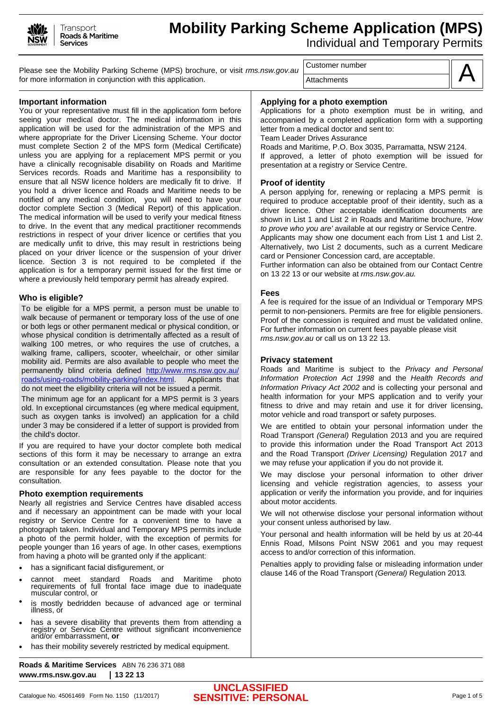

# **Mobility Parking Scheme Application (MPS)**  Individual and Temporary Permits

Please see the Mobility Parking Scheme (MPS) brochure, or visit *rms.nsw.gov.au* for more information in conjunction with this application.

Customer number

**Attachments** 



#### **Important information**

You or your representative must fill in the application form before seeing your medical doctor. The medical information in this application will be used for the administration of the MPS and where appropriate for the Driver Licensing Scheme. Your doctor must complete Section 2 of the MPS form (Medical Certificate) unless you are applying for a replacement MPS permit or you have a clinically recognisable disability on Roads and Maritime Services records. Roads and Maritime has a responsibility to ensure that all NSW licence holders are medically fit to drive. If you hold a driver licence and Roads and Maritime needs to be notified of any medical condition, you will need to have your doctor complete Section 3 (Medical Report) of this application. The medical information will be used to verify your medical fitness to drive. In the event that any medical practitioner recommends restrictions in respect of your driver licence or certifies that you are medically unfit to drive, this may result in restrictions being placed on your driver licence or the suspension of your driver licence. Section 3 is not required to be completed if the application is for a temporary permit issued for the first time or where a previously held temporary permit has already expired.

#### **Who is eligible?**

To be eligible for a MPS permit, a person must be unable to walk because of permanent or temporary loss of the use of one or both legs or other permanent medical or physical condition, or whose physical condition is detrimentally affected as a result of walking 100 metres, or who requires the use of crutches, a walking frame, callipers, scooter, wheelchair, or other similar mobility aid. Permits are also available to people who meet the permanently blind criteria defined [http://www.rms.nsw.gov.au/](http://www.rms.nsw.gov.au/roads/using-roads/mobility-parking/index.html) [roads/using-roads/mobility-parking/index.html.](http://www.rms.nsw.gov.au/roads/using-roads/mobility-parking/index.html) Applicants that do not meet the eligibility criteria will not be issued a permit.

The minimum age for an applicant for a MPS permit is 3 years old. In exceptional circumstances (eg where medical equipment, such as oxygen tanks is involved) an application for a child under 3 may be considered if a letter of support is provided from the child's doctor.

If you are required to have your doctor complete both medical sections of this form it may be necessary to arrange an extra consultation or an extended consultation. Please note that you are responsible for any fees payable to the doctor for the consultation.

#### **Photo exemption requirements**

Nearly all registries and Service Centres have disabled access and if necessary an appointment can be made with your local registry or Service Centre for a convenient time to have a photograph taken. Individual and Temporary MPS permits include a photo of the permit holder, with the exception of permits for people younger than 16 years of age. In other cases, exemptions from having a photo will be granted only if the applicant:

- has a significant facial disfigurement, or
- cannot meet standard Roads and Maritime photo requirements of full frontal face image due to inadequate muscular control, or
- is mostly bedridden because of advanced age or terminal illness, or
- has a severe disability that prevents them from attending a registry or Service Centre without significant inconvenience and/or embarrassment, **or**
- has their mobility severely restricted by medical equipment.

**Roads & Maritime Services** ABN 76 236 371 088 **www.rms.nsw.gov.au 13 22 13**

Applications for a photo exemption must be in writing, and accompanied by a completed application form with a supporting letter from a medical doctor and sent to:

Team Leader Drives Assurance

Roads and Maritime, P.O. Box 3035, Parramatta, NSW 2124. If approved, a letter of photo exemption will be issued for presentation at a registry or Service Centre.

### **Proof of identity**

A person applying for, renewing or replacing a MPS permit is required to produce acceptable proof of their identity, such as a driver licence. Other acceptable identification documents are shown in List 1 and List 2 in Roads and Maritime brochure, '*How to prove who you are'* available at our registry or Service Centre.

Applicants may show one document each from List 1 and List 2. Alternatively, two List 2 documents, such as a current Medicare card or Pensioner Concession card, are acceptable.

Further information can also be obtained from our Contact Centre on 13 22 13 or our website at *rms.nsw.gov.au.*

#### **Fees**

A fee is required for the issue of an Individual or Temporary MPS permit to non-pensioners. Permits are free for eligible pensioners. Proof of the concession is required and must be validated online. For further information on current fees payable please visit *rms.nsw.gov.au* or call us on 13 22 13.

#### **Privacy statement**

Roads and Maritime is subject to the *Privacy and Personal Information Protection Act 1998* and the *Health Records and Information Privacy Act 2002* and is collecting your personal and health information for your MPS application and to verify your fitness to drive and may retain and use it for driver licensing, motor vehicle and road transport or safety purposes.

We are entitled to obtain your personal information under the Road Transport *(General)* Regulation 2013 and you are required to provide this information under the Road Transport Act 2013 and the Road Transport *(Driver Licensing)* Regulation 2017 and we may refuse your application if you do not provide it.

We may disclose your personal information to other driver licensing and vehicle registration agencies, to assess your application or verify the information you provide, and for inquiries about motor accidents.

We will not otherwise disclose your personal information without your consent unless authorised by law.

Your personal and health information will be held by us at 20-44 Ennis Road, Milsons Point NSW 2061 and you may request access to and/or correction of this information.

Penalties apply to providing false or misleading information under clause 146 of the Road Transport *(General)* Regulation 2013*.*

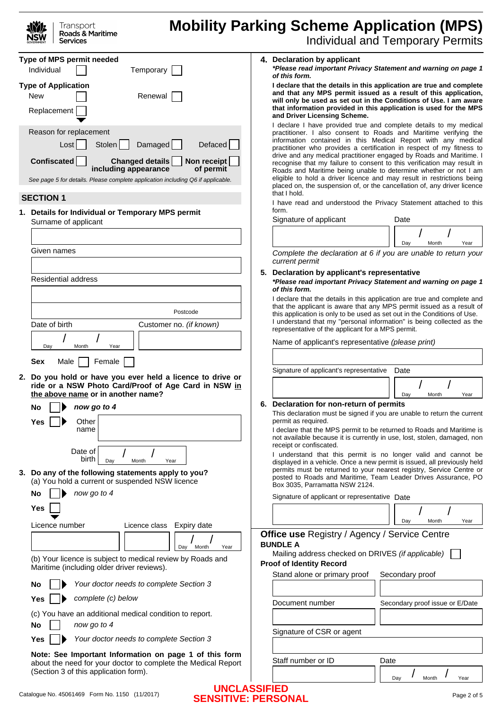| <b>ANYE</b>       | Transport        |
|-------------------|------------------|
| <b>NSW</b>        | Roads & Maritime |
| <b>GOVERNMENT</b> | Services         |

# **Mobility Parking Scheme Application (MPS)**

| <b>Individual and Temporary Permits</b> |  |  |
|-----------------------------------------|--|--|
|-----------------------------------------|--|--|

|                                                                                                          | Type of MPS permit needed<br>Temporary<br>Individual                                                                                                                                                                                           |                                                                                      | 4. Declaration by applicant<br>*Please read important Privacy Statement and warning on page 1<br>of this form.                                                                                                                                                                                                                                                                                                                                                                                                                                                                                                                                                              |      |                                 |      |
|----------------------------------------------------------------------------------------------------------|------------------------------------------------------------------------------------------------------------------------------------------------------------------------------------------------------------------------------------------------|--------------------------------------------------------------------------------------|-----------------------------------------------------------------------------------------------------------------------------------------------------------------------------------------------------------------------------------------------------------------------------------------------------------------------------------------------------------------------------------------------------------------------------------------------------------------------------------------------------------------------------------------------------------------------------------------------------------------------------------------------------------------------------|------|---------------------------------|------|
|                                                                                                          | <b>Type of Application</b><br>New<br>Renewal<br>Replacement                                                                                                                                                                                    |                                                                                      | I declare that the details in this application are true and complete<br>and that any MPS permit issued as a result of this application,<br>will only be used as set out in the Conditions of Use. I am aware<br>that information provided in this application is used for the MPS<br>and Driver Licensing Scheme.                                                                                                                                                                                                                                                                                                                                                           |      |                                 |      |
|                                                                                                          | Reason for replacement<br>Damaged<br>Defaced<br>Stolen<br>Lost<br><b>Confiscated</b><br>Changed details<br>Non receipt<br>of permit<br>including appearance<br>See page 5 for details. Please complete application including Q6 if applicable. |                                                                                      | I declare I have provided true and complete details to my medical<br>practitioner. I also consent to Roads and Maritime verifying the<br>information contained in this Medical Report with any medical<br>practitioner who provides a certification in respect of my fitness to<br>drive and any medical practitioner engaged by Roads and Maritime. I<br>recognise that my failure to consent to this verification may result in<br>Roads and Maritime being unable to determine whether or not I am<br>eligible to hold a driver licence and may result in restrictions being<br>placed on, the suspension of, or the cancellation of, any driver licence<br>that I hold. |      |                                 |      |
|                                                                                                          | <b>SECTION 1</b>                                                                                                                                                                                                                               |                                                                                      | I have read and understood the Privacy Statement attached to this                                                                                                                                                                                                                                                                                                                                                                                                                                                                                                                                                                                                           |      |                                 |      |
|                                                                                                          | 1. Details for Individual or Temporary MPS permit<br>Surname of applicant                                                                                                                                                                      |                                                                                      | form.<br>Signature of applicant                                                                                                                                                                                                                                                                                                                                                                                                                                                                                                                                                                                                                                             |      | Date                            |      |
|                                                                                                          |                                                                                                                                                                                                                                                |                                                                                      |                                                                                                                                                                                                                                                                                                                                                                                                                                                                                                                                                                                                                                                                             |      |                                 |      |
|                                                                                                          | Given names                                                                                                                                                                                                                                    |                                                                                      | Complete the declaration at 6 if you are unable to return your                                                                                                                                                                                                                                                                                                                                                                                                                                                                                                                                                                                                              |      | Day<br>Month                    | Year |
|                                                                                                          |                                                                                                                                                                                                                                                |                                                                                      | current permit                                                                                                                                                                                                                                                                                                                                                                                                                                                                                                                                                                                                                                                              |      |                                 |      |
|                                                                                                          | <b>Residential address</b>                                                                                                                                                                                                                     |                                                                                      | 5. Declaration by applicant's representative<br>*Please read important Privacy Statement and warning on page 1<br>of this form.                                                                                                                                                                                                                                                                                                                                                                                                                                                                                                                                             |      |                                 |      |
|                                                                                                          |                                                                                                                                                                                                                                                |                                                                                      | I declare that the details in this application are true and complete and                                                                                                                                                                                                                                                                                                                                                                                                                                                                                                                                                                                                    |      |                                 |      |
|                                                                                                          | Postcode                                                                                                                                                                                                                                       |                                                                                      | that the applicant is aware that any MPS permit issued as a result of<br>this application is only to be used as set out in the Conditions of Use.                                                                                                                                                                                                                                                                                                                                                                                                                                                                                                                           |      |                                 |      |
|                                                                                                          | Date of birth<br>Customer no. (if known)                                                                                                                                                                                                       |                                                                                      | I understand that my "personal information" is being collected as the<br>representative of the applicant for a MPS permit.                                                                                                                                                                                                                                                                                                                                                                                                                                                                                                                                                  |      |                                 |      |
|                                                                                                          |                                                                                                                                                                                                                                                |                                                                                      | Name of applicant's representative (please print)                                                                                                                                                                                                                                                                                                                                                                                                                                                                                                                                                                                                                           |      |                                 |      |
|                                                                                                          | Day<br>Month<br>Year                                                                                                                                                                                                                           |                                                                                      |                                                                                                                                                                                                                                                                                                                                                                                                                                                                                                                                                                                                                                                                             |      |                                 |      |
|                                                                                                          | <b>Sex</b><br>Female<br>Male                                                                                                                                                                                                                   |                                                                                      |                                                                                                                                                                                                                                                                                                                                                                                                                                                                                                                                                                                                                                                                             |      |                                 |      |
|                                                                                                          | 2. Do you hold or have you ever held a licence to drive or                                                                                                                                                                                     |                                                                                      | Signature of applicant's representative                                                                                                                                                                                                                                                                                                                                                                                                                                                                                                                                                                                                                                     |      | Date                            |      |
|                                                                                                          | ride or a NSW Photo Card/Proof of Age Card in NSW in<br>the above name or in another name?                                                                                                                                                     |                                                                                      |                                                                                                                                                                                                                                                                                                                                                                                                                                                                                                                                                                                                                                                                             |      | Day<br>Month                    | Year |
|                                                                                                          | now go to 4<br>Nο                                                                                                                                                                                                                              |                                                                                      | 6. Declaration for non-return of permits                                                                                                                                                                                                                                                                                                                                                                                                                                                                                                                                                                                                                                    |      |                                 |      |
|                                                                                                          | Other<br>Yes                                                                                                                                                                                                                                   |                                                                                      | This declaration must be signed if you are unable to return the current<br>permit as required.                                                                                                                                                                                                                                                                                                                                                                                                                                                                                                                                                                              |      |                                 |      |
|                                                                                                          | name                                                                                                                                                                                                                                           |                                                                                      | I declare that the MPS permit to be returned to Roads and Maritime is<br>not available because it is currently in use, lost, stolen, damaged, non<br>receipt or confiscated.                                                                                                                                                                                                                                                                                                                                                                                                                                                                                                |      |                                 |      |
|                                                                                                          | Date of<br>birth                                                                                                                                                                                                                               |                                                                                      | I understand that this permit is no longer valid and cannot be                                                                                                                                                                                                                                                                                                                                                                                                                                                                                                                                                                                                              |      |                                 |      |
|                                                                                                          | Day<br>Month<br>Year<br>3. Do any of the following statements apply to you?<br>(a) You hold a current or suspended NSW licence                                                                                                                 |                                                                                      | displayed in a vehicle. Once a new permit is issued, all previously held<br>permits must be returned to your nearest registry, Service Centre or<br>posted to Roads and Maritime, Team Leader Drives Assurance, PO<br>Box 3035, Parramatta NSW 2124.                                                                                                                                                                                                                                                                                                                                                                                                                        |      |                                 |      |
|                                                                                                          | now go to 4<br>No                                                                                                                                                                                                                              |                                                                                      | Signature of applicant or representative Date                                                                                                                                                                                                                                                                                                                                                                                                                                                                                                                                                                                                                               |      |                                 |      |
|                                                                                                          | Yes                                                                                                                                                                                                                                            |                                                                                      |                                                                                                                                                                                                                                                                                                                                                                                                                                                                                                                                                                                                                                                                             |      |                                 |      |
|                                                                                                          | Licence number<br>Licence class<br>Expiry date                                                                                                                                                                                                 |                                                                                      |                                                                                                                                                                                                                                                                                                                                                                                                                                                                                                                                                                                                                                                                             |      | Month<br>Day                    | Year |
|                                                                                                          | Day<br>Month<br>Year                                                                                                                                                                                                                           |                                                                                      | <b>Office use Registry / Agency / Service Centre</b><br><b>BUNDLE A</b>                                                                                                                                                                                                                                                                                                                                                                                                                                                                                                                                                                                                     |      |                                 |      |
| (b) Your licence is subject to medical review by Roads and<br>Maritime (including older driver reviews). |                                                                                                                                                                                                                                                | Mailing address checked on DRIVES (if applicable)<br><b>Proof of Identity Record</b> |                                                                                                                                                                                                                                                                                                                                                                                                                                                                                                                                                                                                                                                                             |      |                                 |      |
|                                                                                                          |                                                                                                                                                                                                                                                |                                                                                      | Stand alone or primary proof                                                                                                                                                                                                                                                                                                                                                                                                                                                                                                                                                                                                                                                |      | Secondary proof                 |      |
|                                                                                                          | Your doctor needs to complete Section 3<br>No                                                                                                                                                                                                  |                                                                                      |                                                                                                                                                                                                                                                                                                                                                                                                                                                                                                                                                                                                                                                                             |      |                                 |      |
|                                                                                                          | complete (c) below<br>Yes                                                                                                                                                                                                                      |                                                                                      | Document number                                                                                                                                                                                                                                                                                                                                                                                                                                                                                                                                                                                                                                                             |      | Secondary proof issue or E/Date |      |
|                                                                                                          | (c) You have an additional medical condition to report.<br>now go to 4<br>No                                                                                                                                                                   |                                                                                      |                                                                                                                                                                                                                                                                                                                                                                                                                                                                                                                                                                                                                                                                             |      |                                 |      |
|                                                                                                          | Your doctor needs to complete Section 3<br>Yes                                                                                                                                                                                                 |                                                                                      | Signature of CSR or agent                                                                                                                                                                                                                                                                                                                                                                                                                                                                                                                                                                                                                                                   |      |                                 |      |
|                                                                                                          |                                                                                                                                                                                                                                                |                                                                                      |                                                                                                                                                                                                                                                                                                                                                                                                                                                                                                                                                                                                                                                                             |      |                                 |      |
|                                                                                                          |                                                                                                                                                                                                                                                |                                                                                      |                                                                                                                                                                                                                                                                                                                                                                                                                                                                                                                                                                                                                                                                             |      |                                 |      |
|                                                                                                          | Note: See Important Information on page 1 of this form                                                                                                                                                                                         |                                                                                      | Staff number or ID                                                                                                                                                                                                                                                                                                                                                                                                                                                                                                                                                                                                                                                          | Date |                                 |      |
|                                                                                                          | about the need for your doctor to complete the Medical Report<br>(Section 3 of this application form).                                                                                                                                         |                                                                                      |                                                                                                                                                                                                                                                                                                                                                                                                                                                                                                                                                                                                                                                                             |      | Day<br>Month                    | Year |

**UNCLASSIFIED SENSITIVE: PERSONAL**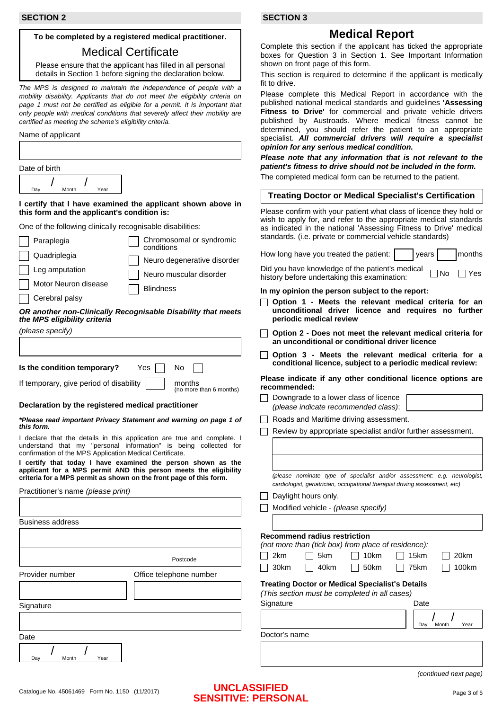#### **To be completed by a registered medical practitioner.**

# Medical Certificate

Please ensure that the applicant has filled in all personal details in Section 1 before signing the declaration below.

*The MPS is designed to maintain the independence of people with a mobility disability. Applicants that do not meet the eligibility criteria on*  page 1 must not be certified as eligible for a permit. It is important that *only people with medical conditions that severely affect their mobility are certified as meeting the scheme's eligibility criteria.*

Name of applicant

| Date of birth                                                                                              |                                        |  |  |  |
|------------------------------------------------------------------------------------------------------------|----------------------------------------|--|--|--|
| Month<br>Year<br>Day                                                                                       |                                        |  |  |  |
| I certify that I have examined the applicant shown above in<br>this form and the applicant's condition is: |                                        |  |  |  |
| One of the following clinically recognisable disabilities:                                                 |                                        |  |  |  |
| Paraplegia                                                                                                 | Chromosomal or syndromic<br>conditions |  |  |  |
| Quadriplegia                                                                                               | Neuro degenerative disorder            |  |  |  |
| Leg amputation                                                                                             | Neuro muscular disorder                |  |  |  |

Motor Neuron disease Cerebral palsy **Blindness** 

*OR another non-Clinically Recognisable Disability that meets the MPS eligibility criteria*

*(please specify)*

**Is the condition temporary?** Yes II No

If temporary, give period of disability  $\parallel$  months (no more than 6 months)

#### **Declaration by the registered medical practitioner**

*\*Please read important Privacy Statement and warning on page 1 of this form.*

I declare that the details in this application are true and complete. I understand that my "personal information" is being collected for confirmation of the MPS Application Medical Certificate.

**I certify that today I have examined the person shown as the applicant for a MPS permit AND this person meets the eligibility criteria for a MPS permit as shown on the front page of this form.**

| approach for a mile politic fute this poloon moots the enginemy<br>criteria for a MPS permit as shown on the front page of this form.<br>Practitioner's name (please print) | (please nominate type of specialist and/or assessment: e.g. neurologist,<br>cardiologist, geriatrician, occupational therapist driving assessment, etc)<br>Daylight hours only.<br>Modified vehicle - (please specify)                                                                                    |  |  |  |
|-----------------------------------------------------------------------------------------------------------------------------------------------------------------------------|-----------------------------------------------------------------------------------------------------------------------------------------------------------------------------------------------------------------------------------------------------------------------------------------------------------|--|--|--|
| <b>Business address</b>                                                                                                                                                     |                                                                                                                                                                                                                                                                                                           |  |  |  |
| Postcode<br>Provider number<br>Office telephone number<br>Signature                                                                                                         | <b>Recommend radius restriction</b><br>(not more than (tick box) from place of residence):<br>2km<br>5km<br>10km<br>15km<br>20km<br>40km<br>100km<br>30km<br>50km<br>75km<br><b>Treating Doctor or Medical Specialist's Details</b><br>(This section must be completed in all cases)<br>Signature<br>Date |  |  |  |
|                                                                                                                                                                             | Month<br>Day<br>Year                                                                                                                                                                                                                                                                                      |  |  |  |
| Date                                                                                                                                                                        | Doctor's name                                                                                                                                                                                                                                                                                             |  |  |  |
| Day<br>Year<br>Month                                                                                                                                                        | $($ continued novt nogel                                                                                                                                                                                                                                                                                  |  |  |  |

 **SECTION 3**

# **Medical Report**

Complete this section if the applicant has ticked the appropriate boxes for Question 3 in Section 1. See Important Information shown on front page of this form.

This section is required to determine if the applicant is medically fit to drive.

Please complete this Medical Report in accordance with the published national medical standards and guidelines **'Assessing Fitness to Drive'** for commercial and private vehicle drivers published by Austroads. Where medical fitness cannot be determined, you should refer the patient to an appropriate specialist. *All commercial drivers will require a specialist opinion for any serious medical condition.*

*Please note that any information that is not relevant to the patient's fitness to drive should not be included in the form.*  The completed medical form can be returned to the patient.

| <b>Treating Doctor or Medical Specialist's Certification</b> |  |
|--------------------------------------------------------------|--|
|                                                              |  |

Please confirm with your patient what class of licence they hold or wish to apply for, and refer to the appropriate medical standards as indicated in the national 'Assessing Fitness to Drive' medical standards. (i.e. private or commercial vehicle standards)

How long have you treated the patient: years months

Did you have knowledge of the patient's medical history before undertaking this examination:  $\Box$  No  $\Box$  Yes

#### **In my opinion the person subject to the report:**

- **Option 1 Meets the relevant medical criteria for an unconditional driver licence and requires no further periodic medical review**
- **Option 2 Does not meet the relevant medical criteria for an unconditional or conditional driver licence**
- **Option 3 Meets the relevant medical criteria for a conditional licence, subject to a periodic medical review:**

**Please indicate if any other conditional licence options are recommended:**

| Downgrade to a lower class of licence |  |
|---------------------------------------|--|
| (please indicate recommended class):  |  |

- Roads and Maritime driving assessment.
- $\Box$ Review by appropriate specialist and/or further assessment.

#### Catalogue No. 45061469 Form No. 1150 (11/2017) Page 3 of 5 **UNCLASSIFIED SENSITIVE: PERSONAL**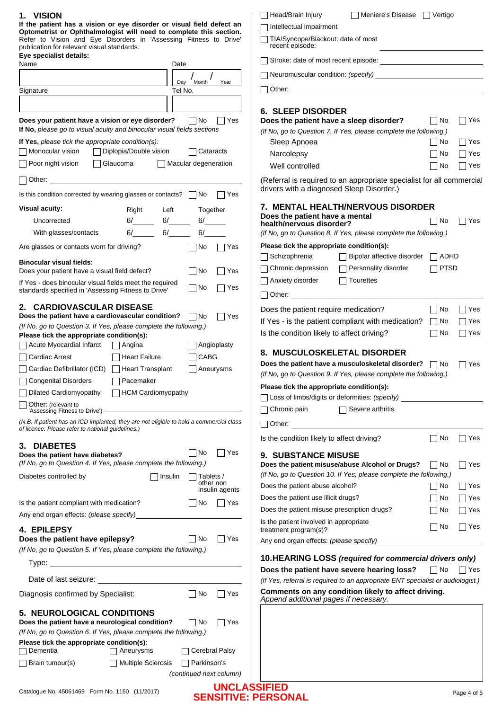| <b>1. VISION</b>                                                                                                                                                                                                                                      |                         |                | Head/Brain Injury<br>  Meniere's Disease     Vertigo                                                                                                                                                                                 |             |            |
|-------------------------------------------------------------------------------------------------------------------------------------------------------------------------------------------------------------------------------------------------------|-------------------------|----------------|--------------------------------------------------------------------------------------------------------------------------------------------------------------------------------------------------------------------------------------|-------------|------------|
| If the patient has a vision or eye disorder or visual field defect an<br>Optometrist or Ophthalmologist will need to complete this section.                                                                                                           |                         |                | Intellectual impairment                                                                                                                                                                                                              |             |            |
| Refer to Vision and Eye Disorders in 'Assessing Fitness to Drive'                                                                                                                                                                                     |                         |                | TIA/Syncope/Blackout: date of most                                                                                                                                                                                                   |             |            |
| publication for relevant visual standards.<br>Eye specialist details:                                                                                                                                                                                 |                         |                | recent episode:                                                                                                                                                                                                                      |             |            |
| Name<br>Date                                                                                                                                                                                                                                          |                         |                | Stroke: date of most recent episode:<br><u> and</u> the contract of most recent episode:                                                                                                                                             |             |            |
|                                                                                                                                                                                                                                                       |                         |                |                                                                                                                                                                                                                                      |             |            |
| Day<br>Signature<br>Tel No.                                                                                                                                                                                                                           | Month                   | Year           | Other: <u>with the contract of the contract of the contract of the contract of the contract of the contract of the contract of the contract of the contract of the contract of the contract of the contract of the contract of t</u> |             |            |
|                                                                                                                                                                                                                                                       |                         |                |                                                                                                                                                                                                                                      |             |            |
|                                                                                                                                                                                                                                                       |                         |                | <b>6. SLEEP DISORDER</b>                                                                                                                                                                                                             |             |            |
| Does your patient have a vision or eye disorder?                                                                                                                                                                                                      | ∣ ∣No                   | Yes            | Does the patient have a sleep disorder?                                                                                                                                                                                              | No          | $\Box$ Yes |
| If No, please go to visual acuity and binocular visual fields sections                                                                                                                                                                                |                         |                | (If No, go to Question 7. If Yes, please complete the following.)                                                                                                                                                                    |             |            |
| If Yes, please tick the appropriate condition(s):                                                                                                                                                                                                     |                         |                | Sleep Apnoea                                                                                                                                                                                                                         | No          | $\Box$ Yes |
| Monocular vision<br>Diplopia/Double vision                                                                                                                                                                                                            | Cataracts               |                | Narcolepsy                                                                                                                                                                                                                           | l INo       | $\Box$ Yes |
| Poor night vision<br>  Glaucoma                                                                                                                                                                                                                       | Macular degeneration    |                | Well controlled                                                                                                                                                                                                                      | ∏ No        | $\Box$ Yes |
| $\Box$ Other:<br><u> 1980 - Jan James James Barbara, president e</u>                                                                                                                                                                                  |                         |                | (Referral is required to an appropriate specialist for all commercial                                                                                                                                                                |             |            |
|                                                                                                                                                                                                                                                       |                         |                | drivers with a diagnosed Sleep Disorder.)                                                                                                                                                                                            |             |            |
| Is this condition corrected by wearing glasses or contacts? $\Box$ No                                                                                                                                                                                 |                         | Yes            |                                                                                                                                                                                                                                      |             |            |
| <b>Visual acuity:</b><br>Left<br>Right                                                                                                                                                                                                                | Together                |                | <b>7. MENTAL HEALTH/NERVOUS DISORDER</b><br>Does the patient have a mental                                                                                                                                                           |             |            |
| $6/$ $6/$<br>Uncorrected                                                                                                                                                                                                                              | 6/                      |                | health/nervous disorder?                                                                                                                                                                                                             | $\Box$ No   | $\Box$ Yes |
| $6/$ 6/<br>With glasses/contacts                                                                                                                                                                                                                      | 6/                      |                | (If No, go to Question 8. If Yes, please complete the following.)                                                                                                                                                                    |             |            |
| Are glasses or contacts worn for driving?                                                                                                                                                                                                             | ∣ ∣No                   | Yes            | Please tick the appropriate condition(s):                                                                                                                                                                                            |             |            |
| <b>Binocular visual fields:</b>                                                                                                                                                                                                                       |                         |                | $\Box$ Bipolar affective disorder $\Box$ ADHD<br>Schizophrenia                                                                                                                                                                       |             |            |
| Does your patient have a visual field defect?                                                                                                                                                                                                         | No                      | Yes            | Chronic depression □ Personality disorder                                                                                                                                                                                            | $\Box$ PTSD |            |
| If Yes - does binocular visual fields meet the required                                                                                                                                                                                               |                         |                | Anxiety disorder<br>$\Box$ Tourettes                                                                                                                                                                                                 |             |            |
| standards specified in 'Assessing Fitness to Drive'                                                                                                                                                                                                   | No                      | Yes            | Other: <u>with the contract of the contract of the contract of the contract of the contract of the contract of the contract of the contract of the contract of the contract of the contract of the contract of the contract of t</u> |             |            |
| 2. CARDIOVASCULAR DISEASE                                                                                                                                                                                                                             |                         |                | Does the patient require medication?                                                                                                                                                                                                 | $\Box$ No   | ∣ ∣Yes     |
| Does the patient have a cardiovascular condition? No                                                                                                                                                                                                  |                         | Yes            | If Yes - is the patient compliant with medication? $\Box$ No                                                                                                                                                                         |             | $\Box$ Yes |
| (If No, go to Question 3. If Yes, please complete the following.)                                                                                                                                                                                     |                         |                | Is the condition likely to affect driving?                                                                                                                                                                                           | No          | $\Box$ Yes |
| Please tick the appropriate condition(s):<br>Acute Myocardial Infarct<br>  Angina                                                                                                                                                                     |                         | Angioplasty    |                                                                                                                                                                                                                                      |             |            |
|                                                                                                                                                                                                                                                       |                         |                | 8. MUSCULOSKELETAL DISORDER                                                                                                                                                                                                          |             |            |
| Cardiac Arrest<br>  Heart Failure                                                                                                                                                                                                                     | CABG                    |                | Does the patient have a musculoskeletal disorder? $\Box$ No                                                                                                                                                                          |             | $\Box$ Yes |
| □ Cardiac Defibrillator (ICD) □ Heart Transplant                                                                                                                                                                                                      | Aneurysms               |                | (If No, go to Question 9. If Yes, please complete the following.)                                                                                                                                                                    |             |            |
| Congenital Disorders<br>  Pacemaker                                                                                                                                                                                                                   |                         |                | Please tick the appropriate condition(s):                                                                                                                                                                                            |             |            |
| Dilated Cardiomyopathy $\Box$ HCM Cardiomyopathy                                                                                                                                                                                                      |                         |                | Loss of limbs/digits or deformities: (specify)                                                                                                                                                                                       |             |            |
| Other: (relevant to<br>'Assessing Fitness to Drive') - The Context of the Context of the Context of the Context of the Context of the Context of the Context of the Context of the Context of the Context of the Context of the Context of the Contex |                         |                | Chronic pain<br>$\Box$ Severe arthritis                                                                                                                                                                                              |             |            |
| (N.B. If patient has an ICD implanted, they are not eligible to hold a commercial class                                                                                                                                                               |                         |                |                                                                                                                                                                                                                                      |             |            |
| of licence. Please refer to national guidelines.)                                                                                                                                                                                                     |                         |                | Is the condition likely to affect driving?                                                                                                                                                                                           | $\Box$ No   | $\Box$ Yes |
| 3. DIABETES                                                                                                                                                                                                                                           |                         |                |                                                                                                                                                                                                                                      |             |            |
| Does the patient have diabetes?                                                                                                                                                                                                                       | No                      | Yes            | <b>9. SUBSTANCE MISUSE</b>                                                                                                                                                                                                           |             |            |
| (If No, go to Question 4. If Yes, please complete the following.)                                                                                                                                                                                     |                         |                | Does the patient misuse/abuse Alcohol or Drugs?                                                                                                                                                                                      | No          | Yes        |
| Diabetes controlled by<br>  Insulin                                                                                                                                                                                                                   | Tablets /<br>other non  |                | (If No, go to Question 10. If Yes, please complete the following.)                                                                                                                                                                   |             |            |
|                                                                                                                                                                                                                                                       |                         | insulin agents | Does the patient abuse alcohol?                                                                                                                                                                                                      | No          | $\Box$ Yes |
| Is the patient compliant with medication?                                                                                                                                                                                                             | No.                     | 7 Yes          | Does the patient use illicit drugs?                                                                                                                                                                                                  | No          | $\Box$ Yes |
| Any end organ effects: (please specify)                                                                                                                                                                                                               |                         |                | Does the patient misuse prescription drugs?                                                                                                                                                                                          | No          | $\Box$ Yes |
| 4. EPILEPSY                                                                                                                                                                                                                                           |                         |                | Is the patient involved in appropriate<br>treatment program(s)?                                                                                                                                                                      | l INo       | Yes        |
| Does the patient have epilepsy?                                                                                                                                                                                                                       | No                      | ∏ Yes          | Any end organ effects: (please specify)                                                                                                                                                                                              |             |            |
| (If No, go to Question 5. If Yes, please complete the following.)                                                                                                                                                                                     |                         |                |                                                                                                                                                                                                                                      |             |            |
|                                                                                                                                                                                                                                                       |                         |                | 10.HEARING LOSS (required for commercial drivers only)                                                                                                                                                                               |             |            |
|                                                                                                                                                                                                                                                       |                         |                | Does the patient have severe hearing loss?                                                                                                                                                                                           | ∣ ∣No       | Yes        |
|                                                                                                                                                                                                                                                       |                         |                | (If Yes, referral is required to an appropriate ENT specialist or audiologist.)                                                                                                                                                      |             |            |
| Diagnosis confirmed by Specialist:                                                                                                                                                                                                                    | $\Box$ No               | ∏ Yes          | Comments on any condition likely to affect driving.<br>Append additional pages if necessary.                                                                                                                                         |             |            |
| <b>5. NEUROLOGICAL CONDITIONS</b><br>Does the patient have a neurological condition?                                                                                                                                                                  | No                      | ∣∣Yes          |                                                                                                                                                                                                                                      |             |            |
| (If No, go to Question 6. If Yes, please complete the following.)                                                                                                                                                                                     |                         |                |                                                                                                                                                                                                                                      |             |            |
| Please tick the appropriate condition(s):                                                                                                                                                                                                             |                         |                |                                                                                                                                                                                                                                      |             |            |
| <b>□ Dementia</b><br>  Aneurysms                                                                                                                                                                                                                      | $\Box$ Cerebral Palsy   |                |                                                                                                                                                                                                                                      |             |            |
| $\Box$ Brain tumour(s)<br>□ Multiple Sclerosis                                                                                                                                                                                                        | $\Box$ Parkinson's      |                |                                                                                                                                                                                                                                      |             |            |
|                                                                                                                                                                                                                                                       | (continued next column) |                |                                                                                                                                                                                                                                      |             |            |
|                                                                                                                                                                                                                                                       |                         |                | <b>IINCI ACCIEIED</b>                                                                                                                                                                                                                |             |            |